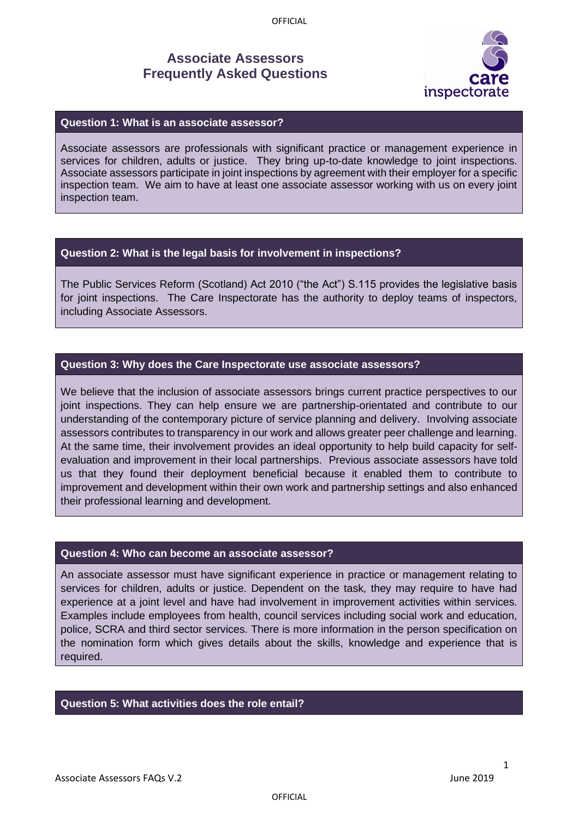OFFICIAL

# **Associate Assessors Frequently Asked Questions**



## **Question 1: What is an associate assessor?**

Associate assessors are professionals with significant practice or management experience in services for children, adults or justice. They bring up-to-date knowledge to joint inspections. Associate assessors participate in joint inspections by agreement with their employer for a specific inspection team. We aim to have at least one associate assessor working with us on every joint inspection team.

## **Question 2: What is the legal basis for involvement in inspections?**

The Public Services Reform (Scotland) Act 2010 ("the Act") S.115 provides the legislative basis for joint inspections. The Care Inspectorate has the authority to deploy teams of inspectors, including Associate Assessors.

## **Question 3: Why does the Care Inspectorate use associate assessors?**

We believe that the inclusion of associate assessors brings current practice perspectives to our joint inspections. They can help ensure we are partnership-orientated and contribute to our understanding of the contemporary picture of service planning and delivery. Involving associate assessors contributes to transparency in our work and allows greater peer challenge and learning. At the same time, their involvement provides an ideal opportunity to help build capacity for selfevaluation and improvement in their local partnerships. Previous associate assessors have told us that they found their deployment beneficial because it enabled them to contribute to improvement and development within their own work and partnership settings and also enhanced their professional learning and development.

#### **Question 4: Who can become an associate assessor?**

An associate assessor must have significant experience in practice or management relating to services for children, adults or justice. Dependent on the task, they may require to have had experience at a joint level and have had involvement in improvement activities within services. Examples include employees from health, council services including social work and education, police, SCRA and third sector services. There is more information in the person specification on the nomination form which gives details about the skills, knowledge and experience that is required.

### **Question 5: What activities does the role entail?**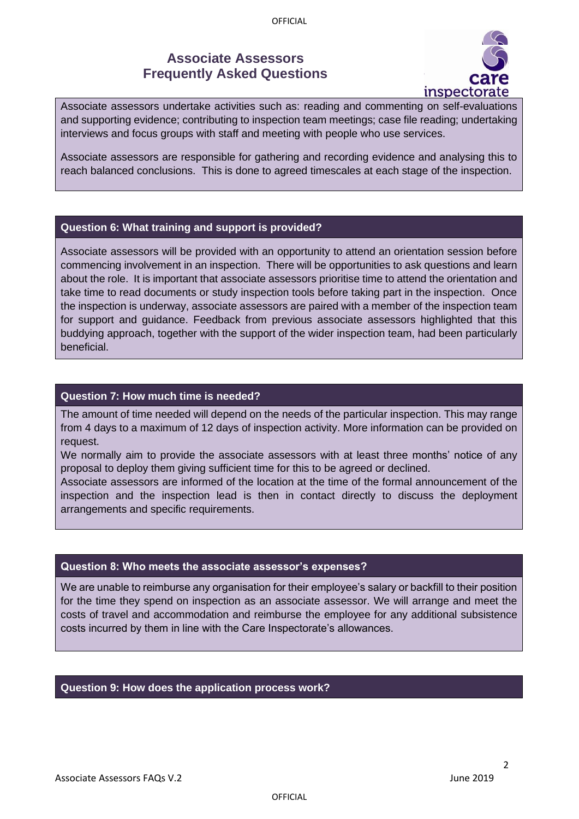# **Associate Assessors Frequently Asked Questions**



Associate assessors undertake activities such as: reading and commenting on self-evaluations and supporting evidence; contributing to inspection team meetings; case file reading; undertaking interviews and focus groups with staff and meeting with people who use services.

Associate assessors are responsible for gathering and recording evidence and analysing this to reach balanced conclusions. This is done to agreed timescales at each stage of the inspection.

## **Question 6: What training and support is provided?**

Associate assessors will be provided with an opportunity to attend an orientation session before commencing involvement in an inspection. There will be opportunities to ask questions and learn about the role. It is important that associate assessors prioritise time to attend the orientation and take time to read documents or study inspection tools before taking part in the inspection. Once the inspection is underway, associate assessors are paired with a member of the inspection team for support and guidance. Feedback from previous associate assessors highlighted that this buddying approach, together with the support of the wider inspection team, had been particularly beneficial.

#### **Question 7: How much time is needed?**

The amount of time needed will depend on the needs of the particular inspection. This may range from 4 days to a maximum of 12 days of inspection activity. More information can be provided on request.

We normally aim to provide the associate assessors with at least three months' notice of any proposal to deploy them giving sufficient time for this to be agreed or declined.

Associate assessors are informed of the location at the time of the formal announcement of the inspection and the inspection lead is then in contact directly to discuss the deployment arrangements and specific requirements.

#### **Question 8: Who meets the associate assessor's expenses?**

We are unable to reimburse any organisation for their employee's salary or backfill to their position for the time they spend on inspection as an associate assessor. We will arrange and meet the costs of travel and accommodation and reimburse the employee for any additional subsistence costs incurred by them in line with the Care Inspectorate's allowances.

#### **Question 9: How does the application process work?**